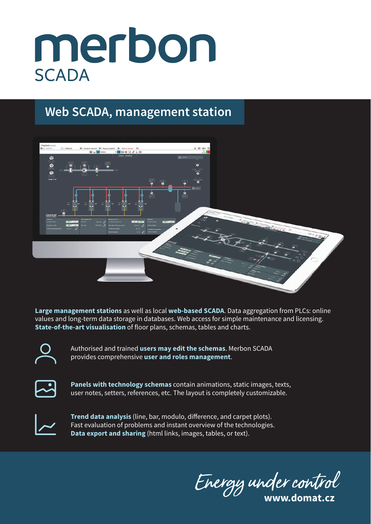## merbon **SCADA**

## **Web SCADA, management station**



**Large management stations** as well as local **web-based SCADA**. Data aggregation from PLCs: online values and long-term data storage in databases. Web access for simple maintenance and licensing. **State-of-the-art visualisation** of floor plans, schemas, tables and charts.



Authorised and trained **users may edit the schemas**. Merbon SCADA provides comprehensive **user and roles management**.



**Panels with technology schemas** contain animations, static images, texts, user notes, setters, references, etc. The layout is completely customizable.



**Trend data analysis** (line, bar, modulo, difference, and carpet plots). Fast evaluation of problems and instant overview of the technologies. **Data export and sharing** (html links, images, tables, or text).

Energy under control